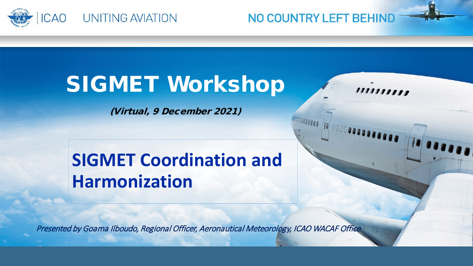

NO COUNTRY LEFT BEHIND

,,,,,,,,,,

# SIGMET Workshop

(Virtual, 9 December 2021)

### **SIGMET Coordination and Harmonization**

Presented by Goama Ilboudo, Regional Officer, Aeronautical Meteorology, ICAO WACAF Office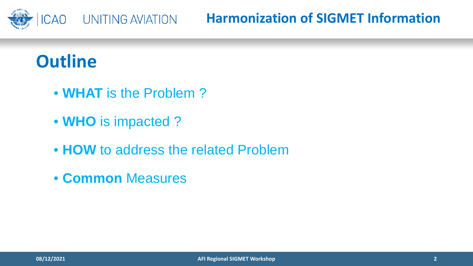

**Harmonization of SIGMET Information**

### **Outline**

- **WHAT** is the Problem ?
- **WHO** is impacted ?
- **HOW** to address the related Problem
- **Common** Measures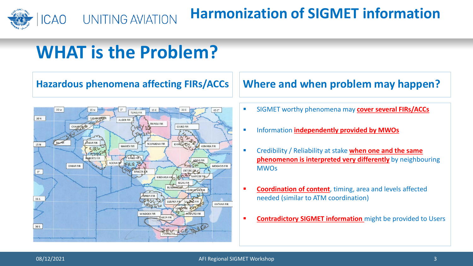

# **WHAT is the Problem?**



#### **Hazardous phenomena affecting FIRs/ACCs Where and when problem may happen?**

- SIGMET worthy phenomena may **cover several FIRs/ACCs**
- **EXECUTE:** Information **independently provided by MWOs**
- Credibility / Reliability at stake **when one and the same phenomenon is interpreted very differently** by neighbouring **MWOs**
- **Coordination of content**, timing, area and levels affected needed (similar to ATM coordination)
- **Contradictory SIGMET information** might be provided to Users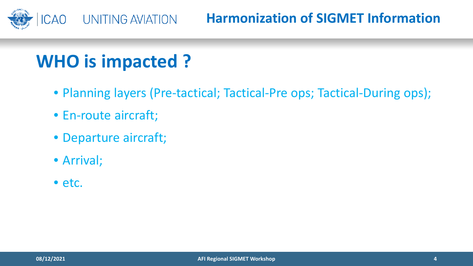

### **Harmonization of SIGMET Information**

# **WHO is impacted ?**

- Planning layers (Pre-tactical; Tactical-Pre ops; Tactical-During ops);
- En-route aircraft;
- Departure aircraft;
- Arrival;
- etc.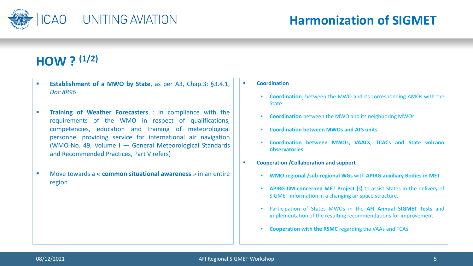

### **HOW ? (1/2)**

- **Establishment of a MWO by State**, as per A3, Chap.3: §3.4.1, *Doc 8896*
- **Training of Weather Forecasters** : In compliance with the requirements of the WMO in respect of qualifications, competencies, education and training of meteorological personnel providing service for international air navigation (WMO-No. 49, Volume I — General Meteorological Standards and Recommended Practices, Part V refers)
- Move towards a **« common situational awareness** » in an entire region
- **E** Coordination
	- **Coordination** between the MWO and its corresponding AMOs with the **State**
	- **Coordination** between the MWO and its neighboring MWOs
	- **Coordination between MWOs and ATS units**
	- **Coordination between MWOs, VAACs, TCACs and State volcano observatories**
- **Cooperation /Collaboration and support**
	- **WMO regional /sub-regional WGs** with **APIRG auxiliary Bodies in MET**
	- **APIRG IIM concerned MET Project (s)** to assist States in the delivery of SIGMET information in a changing air space structure.
	- Participation of States MWOs in the **AFI Annual SIGMET Tests** and implementation of the resulting recommendations for improvement
	- **Cooperation with the RSMC** regarding the VAAs and TCAs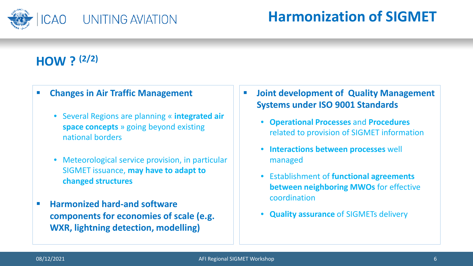

### **Harmonization of SIGMET**

### **HOW ? (2/2)**

#### **Changes in Air Traffic Management**

- Several Regions are planning « **integrated air space concepts** » going beyond existing national borders
- Meteorological service provision, in particular SIGMET issuance, **may have to adapt to changed structures**
- **Harmonized hard-and software components for economies of scale (e.g. WXR, lightning detection, modelling)**
- **Joint development of Quality Management Systems under ISO 9001 Standards**
	- **Operational Processes** and **Procedures** related to provision of SIGMET information
	- **Interactions between processes** well managed
	- Establishment of **functional agreements between neighboring MWOs** for effective coordination
	- **Quality assurance** of SIGMETs delivery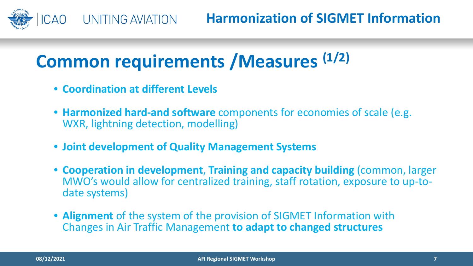

# **Common requirements /Measures (1/2)**

- **Coordination at different Levels**
- **Harmonized hard-and software** components for economies of scale (e.g. WXR, lightning detection, modelling)
- **Joint development of Quality Management Systems**
- **Cooperation in development**, **Training and capacity building** (common, larger MWO's would allow for centralized training, staff rotation, exposure to up-to-<br>date systems)
- **Alignment** of the system of the provision of SIGMET Information with Changes in Air Traffic Management **to adapt to changed structures**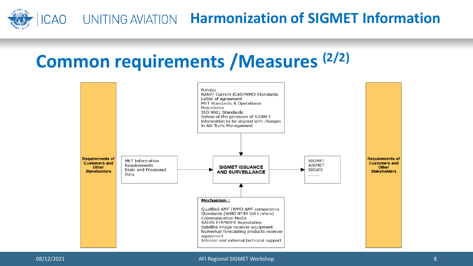

### ICAO UNITING AVIATION Harmonization of **SIGMET Information**

## **Common requirements /Measures (2/2)**